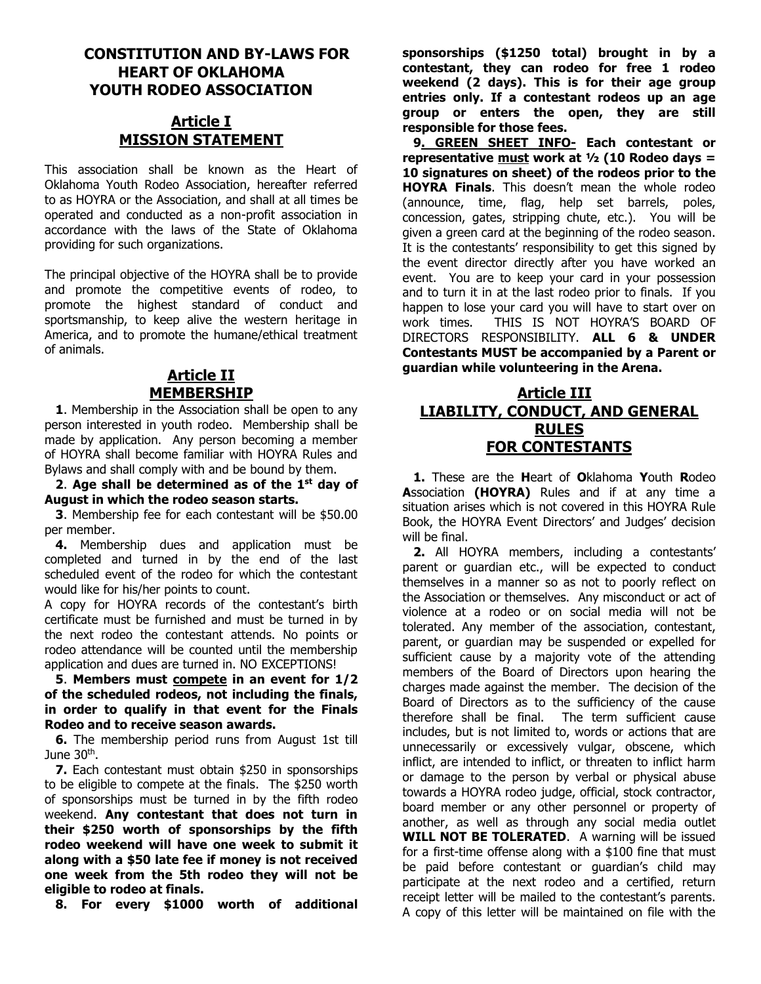## **CONSTITUTION AND BY-LAWS FOR HEART OF OKLAHOMA YOUTH RODEO ASSOCIATION**

# **Article I MISSION STATEMENT**

This association shall be known as the Heart of Oklahoma Youth Rodeo Association, hereafter referred to as HOYRA or the Association, and shall at all times be operated and conducted as a non-profit association in accordance with the laws of the State of Oklahoma providing for such organizations.

The principal objective of the HOYRA shall be to provide and promote the competitive events of rodeo, to promote the highest standard of conduct and sportsmanship, to keep alive the western heritage in America, and to promote the humane/ethical treatment of animals.

## **Article II MEMBERSHIP**

 **1**. Membership in the Association shall be open to any person interested in youth rodeo. Membership shall be made by application. Any person becoming a member of HOYRA shall become familiar with HOYRA Rules and Bylaws and shall comply with and be bound by them.

 **2**. **Age shall be determined as of the 1 st day of August in which the rodeo season starts.**

 **3**. Membership fee for each contestant will be \$50.00 per member.

 **4.** Membership dues and application must be completed and turned in by the end of the last scheduled event of the rodeo for which the contestant would like for his/her points to count.

A copy for HOYRA records of the contestant's birth certificate must be furnished and must be turned in by the next rodeo the contestant attends. No points or rodeo attendance will be counted until the membership application and dues are turned in. NO EXCEPTIONS!

 **5**. **Members must compete in an event for 1/2 of the scheduled rodeos, not including the finals, in order to qualify in that event for the Finals Rodeo and to receive season awards.** 

 **6.** The membership period runs from August 1st till June 30<sup>th</sup>.

 **7.** Each contestant must obtain \$250 in sponsorships to be eligible to compete at the finals. The \$250 worth of sponsorships must be turned in by the fifth rodeo weekend. **Any contestant that does not turn in their \$250 worth of sponsorships by the fifth rodeo weekend will have one week to submit it along with a \$50 late fee if money is not received one week from the 5th rodeo they will not be eligible to rodeo at finals.**

 **8. For every \$1000 worth of additional** 

**sponsorships (\$1250 total) brought in by a contestant, they can rodeo for free 1 rodeo weekend (2 days). This is for their age group entries only. If a contestant rodeos up an age group or enters the open, they are still responsible for those fees.** 

 **9. GREEN SHEET INFO- Each contestant or representative must work at ½ (10 Rodeo days = 10 signatures on sheet) of the rodeos prior to the HOYRA Finals**. This doesn't mean the whole rodeo (announce, time, flag, help set barrels, poles, concession, gates, stripping chute, etc.). You will be given a green card at the beginning of the rodeo season. It is the contestants' responsibility to get this signed by the event director directly after you have worked an event. You are to keep your card in your possession and to turn it in at the last rodeo prior to finals. If you happen to lose your card you will have to start over on work times. THIS IS NOT HOYRA'S BOARD OF DIRECTORS RESPONSIBILITY. **ALL 6 & UNDER Contestants MUST be accompanied by a Parent or guardian while volunteering in the Arena.**

## **Article III LIABILITY, CONDUCT, AND GENERAL RULES FOR CONTESTANTS**

 **1.** These are the **H**eart of **O**klahoma **Y**outh **R**odeo **A**ssociation **(HOYRA)** Rules and if at any time a situation arises which is not covered in this HOYRA Rule Book, the HOYRA Event Directors' and Judges' decision will be final.

 **2.** All HOYRA members, including a contestants' parent or guardian etc., will be expected to conduct themselves in a manner so as not to poorly reflect on the Association or themselves. Any misconduct or act of violence at a rodeo or on social media will not be tolerated. Any member of the association, contestant, parent, or guardian may be suspended or expelled for sufficient cause by a majority vote of the attending members of the Board of Directors upon hearing the charges made against the member. The decision of the Board of Directors as to the sufficiency of the cause therefore shall be final. The term sufficient cause includes, but is not limited to, words or actions that are unnecessarily or excessively vulgar, obscene, which inflict, are intended to inflict, or threaten to inflict harm or damage to the person by verbal or physical abuse towards a HOYRA rodeo judge, official, stock contractor, board member or any other personnel or property of another, as well as through any social media outlet **WILL NOT BE TOLERATED**. A warning will be issued for a first-time offense along with a \$100 fine that must be paid before contestant or guardian's child may participate at the next rodeo and a certified, return receipt letter will be mailed to the contestant's parents. A copy of this letter will be maintained on file with the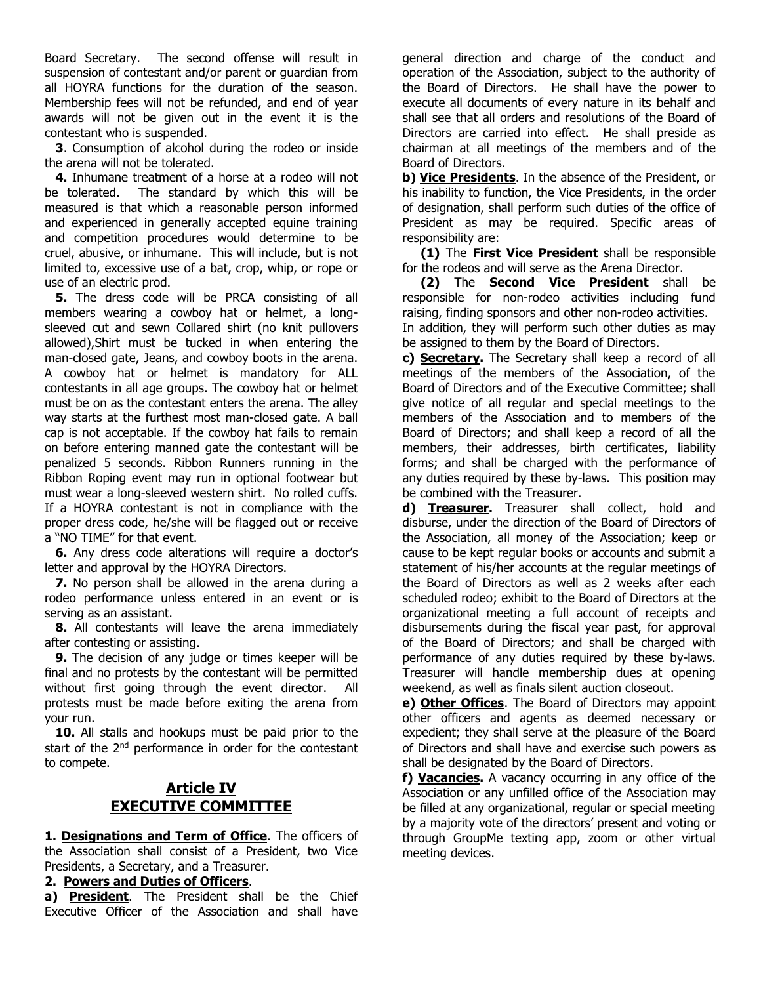Board Secretary. The second offense will result in suspension of contestant and/or parent or guardian from all HOYRA functions for the duration of the season. Membership fees will not be refunded, and end of year awards will not be given out in the event it is the contestant who is suspended.

 **3**. Consumption of alcohol during the rodeo or inside the arena will not be tolerated.

 **4.** Inhumane treatment of a horse at a rodeo will not be tolerated. The standard by which this will be measured is that which a reasonable person informed and experienced in generally accepted equine training and competition procedures would determine to be cruel, abusive, or inhumane. This will include, but is not limited to, excessive use of a bat, crop, whip, or rope or use of an electric prod.

 **5.** The dress code will be PRCA consisting of all members wearing a cowboy hat or helmet, a longsleeved cut and sewn Collared shirt (no knit pullovers allowed),Shirt must be tucked in when entering the man-closed gate, Jeans, and cowboy boots in the arena. A cowboy hat or helmet is mandatory for ALL contestants in all age groups. The cowboy hat or helmet must be on as the contestant enters the arena. The alley way starts at the furthest most man-closed gate. A ball cap is not acceptable. If the cowboy hat fails to remain on before entering manned gate the contestant will be penalized 5 seconds. Ribbon Runners running in the Ribbon Roping event may run in optional footwear but must wear a long-sleeved western shirt. No rolled cuffs. If a HOYRA contestant is not in compliance with the proper dress code, he/she will be flagged out or receive a "NO TIME" for that event.

 **6.** Any dress code alterations will require a doctor's letter and approval by the HOYRA Directors.

 **7.** No person shall be allowed in the arena during a rodeo performance unless entered in an event or is serving as an assistant.

 **8.** All contestants will leave the arena immediately after contesting or assisting.

**9.** The decision of any judge or times keeper will be final and no protests by the contestant will be permitted without first going through the event director. All protests must be made before exiting the arena from your run.

 **10.** All stalls and hookups must be paid prior to the start of the 2<sup>nd</sup> performance in order for the contestant to compete.

## **Article IV EXECUTIVE COMMITTEE**

**1. Designations and Term of Office**. The officers of the Association shall consist of a President, two Vice Presidents, a Secretary, and a Treasurer.

## **2. Powers and Duties of Officers**.

**a) President**. The President shall be the Chief Executive Officer of the Association and shall have general direction and charge of the conduct and operation of the Association, subject to the authority of the Board of Directors. He shall have the power to execute all documents of every nature in its behalf and shall see that all orders and resolutions of the Board of Directors are carried into effect. He shall preside as chairman at all meetings of the members and of the Board of Directors.

**b) Vice Presidents**. In the absence of the President, or his inability to function, the Vice Presidents, in the order of designation, shall perform such duties of the office of President as may be required. Specific areas of responsibility are:

 **(1)** The **First Vice President** shall be responsible for the rodeos and will serve as the Arena Director.

 **(2)** The **Second Vice President** shall be responsible for non-rodeo activities including fund raising, finding sponsors and other non-rodeo activities.

In addition, they will perform such other duties as may be assigned to them by the Board of Directors.

**c) Secretary.** The Secretary shall keep a record of all meetings of the members of the Association, of the Board of Directors and of the Executive Committee; shall give notice of all regular and special meetings to the members of the Association and to members of the Board of Directors; and shall keep a record of all the members, their addresses, birth certificates, liability forms; and shall be charged with the performance of any duties required by these by-laws. This position may be combined with the Treasurer.

**d) Treasurer.** Treasurer shall collect, hold and disburse, under the direction of the Board of Directors of the Association, all money of the Association; keep or cause to be kept regular books or accounts and submit a statement of his/her accounts at the regular meetings of the Board of Directors as well as 2 weeks after each scheduled rodeo; exhibit to the Board of Directors at the organizational meeting a full account of receipts and disbursements during the fiscal year past, for approval of the Board of Directors; and shall be charged with performance of any duties required by these by-laws. Treasurer will handle membership dues at opening weekend, as well as finals silent auction closeout.

**e) Other Offices**. The Board of Directors may appoint other officers and agents as deemed necessary or expedient; they shall serve at the pleasure of the Board of Directors and shall have and exercise such powers as shall be designated by the Board of Directors.

**f) Vacancies.** A vacancy occurring in any office of the Association or any unfilled office of the Association may be filled at any organizational, regular or special meeting by a majority vote of the directors' present and voting or through GroupMe texting app, zoom or other virtual meeting devices.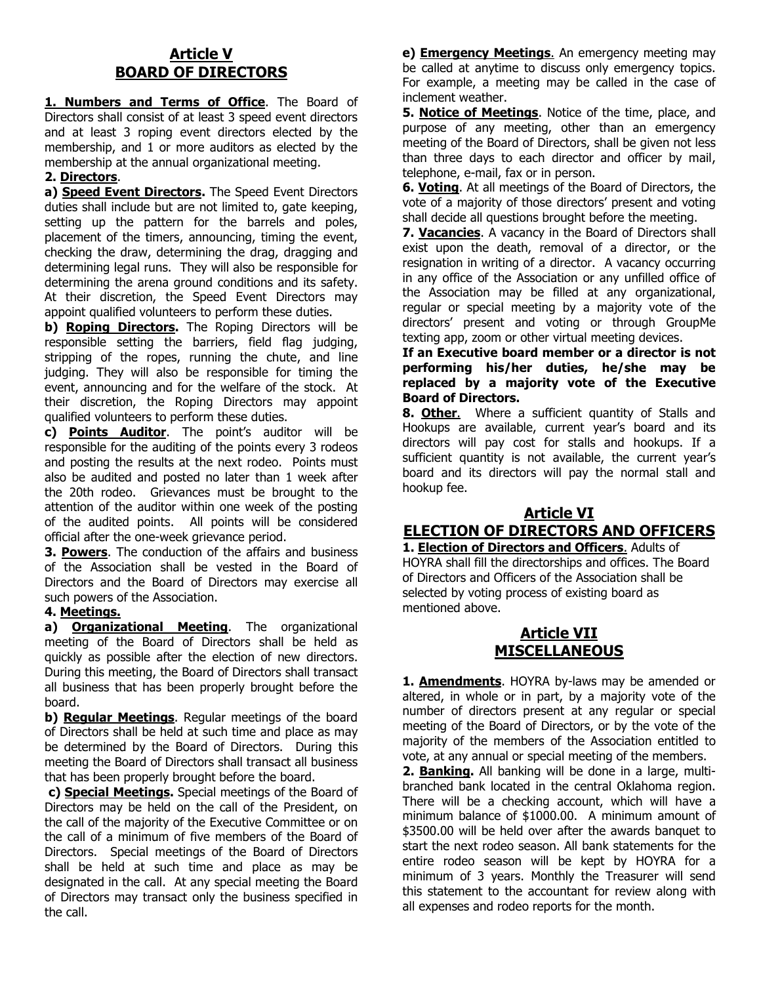# **Article V BOARD OF DIRECTORS**

**1. Numbers and Terms of Office**. The Board of Directors shall consist of at least 3 speed event directors and at least 3 roping event directors elected by the membership, and 1 or more auditors as elected by the membership at the annual organizational meeting.

## **2. Directors**.

**a) Speed Event Directors.** The Speed Event Directors duties shall include but are not limited to, gate keeping, setting up the pattern for the barrels and poles, placement of the timers, announcing, timing the event, checking the draw, determining the drag, dragging and determining legal runs. They will also be responsible for determining the arena ground conditions and its safety. At their discretion, the Speed Event Directors may appoint qualified volunteers to perform these duties.

**b) Roping Directors.** The Roping Directors will be responsible setting the barriers, field flag judging, stripping of the ropes, running the chute, and line judging. They will also be responsible for timing the event, announcing and for the welfare of the stock. At their discretion, the Roping Directors may appoint qualified volunteers to perform these duties.

**c) Points Auditor**. The point's auditor will be responsible for the auditing of the points every 3 rodeos and posting the results at the next rodeo. Points must also be audited and posted no later than 1 week after the 20th rodeo. Grievances must be brought to the attention of the auditor within one week of the posting of the audited points. All points will be considered official after the one-week grievance period.

**3. Powers**. The conduction of the affairs and business of the Association shall be vested in the Board of Directors and the Board of Directors may exercise all such powers of the Association.

### **4. Meetings.**

**a) Organizational Meeting**. The organizational meeting of the Board of Directors shall be held as quickly as possible after the election of new directors. During this meeting, the Board of Directors shall transact all business that has been properly brought before the board.

**b) Regular Meetings**. Regular meetings of the board of Directors shall be held at such time and place as may be determined by the Board of Directors. During this meeting the Board of Directors shall transact all business that has been properly brought before the board.

**c) Special Meetings.** Special meetings of the Board of Directors may be held on the call of the President, on the call of the majority of the Executive Committee or on the call of a minimum of five members of the Board of Directors. Special meetings of the Board of Directors shall be held at such time and place as may be designated in the call. At any special meeting the Board of Directors may transact only the business specified in the call.

**e) Emergency Meetings**. An emergency meeting may be called at anytime to discuss only emergency topics. For example, a meeting may be called in the case of inclement weather.

**5. Notice of Meetings**. Notice of the time, place, and purpose of any meeting, other than an emergency meeting of the Board of Directors, shall be given not less than three days to each director and officer by mail, telephone, e-mail, fax or in person.

**6. Voting**. At all meetings of the Board of Directors, the vote of a majority of those directors' present and voting shall decide all questions brought before the meeting.

**7. Vacancies**. A vacancy in the Board of Directors shall exist upon the death, removal of a director, or the resignation in writing of a director. A vacancy occurring in any office of the Association or any unfilled office of the Association may be filled at any organizational, regular or special meeting by a majority vote of the directors' present and voting or through GroupMe texting app, zoom or other virtual meeting devices.

**If an Executive board member or a director is not performing his/her duties, he/she may be replaced by a majority vote of the Executive Board of Directors.**

**8. Other**. Where a sufficient quantity of Stalls and Hookups are available, current year's board and its directors will pay cost for stalls and hookups. If a sufficient quantity is not available, the current year's board and its directors will pay the normal stall and hookup fee.

## **Article VI ELECTION OF DIRECTORS AND OFFICERS**

**1. Election of Directors and Officers**. Adults of HOYRA shall fill the directorships and offices. The Board of Directors and Officers of the Association shall be selected by voting process of existing board as mentioned above.

## **Article VII MISCELLANEOUS**

**1. Amendments**. HOYRA by-laws may be amended or altered, in whole or in part, by a majority vote of the number of directors present at any regular or special meeting of the Board of Directors, or by the vote of the majority of the members of the Association entitled to vote, at any annual or special meeting of the members.

**2. Banking.** All banking will be done in a large, multibranched bank located in the central Oklahoma region. There will be a checking account, which will have a minimum balance of \$1000.00. A minimum amount of \$3500.00 will be held over after the awards banquet to start the next rodeo season. All bank statements for the entire rodeo season will be kept by HOYRA for a minimum of 3 years. Monthly the Treasurer will send this statement to the accountant for review along with all expenses and rodeo reports for the month.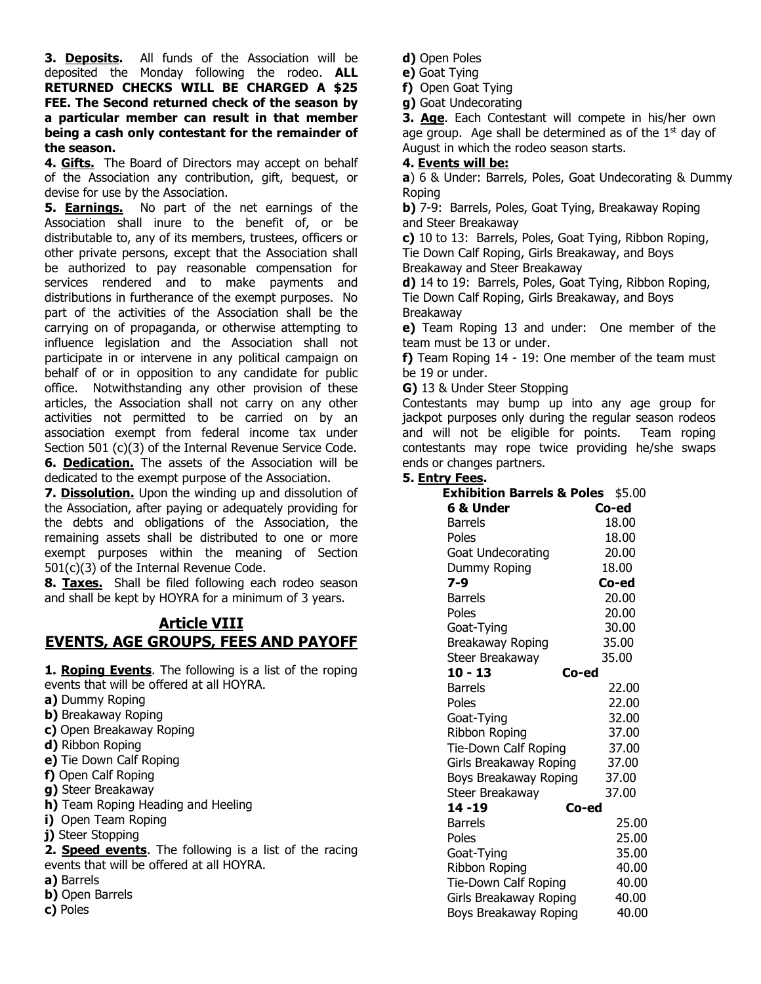**3. Deposits.** All funds of the Association will be deposited the Monday following the rodeo. **ALL RETURNED CHECKS WILL BE CHARGED A \$25 FEE. The Second returned check of the season by a particular member can result in that member being a cash only contestant for the remainder of the season.**

4. **Gifts.** The Board of Directors may accept on behalf of the Association any contribution, gift, bequest, or devise for use by the Association.

**5. Earnings.** No part of the net earnings of the Association shall inure to the benefit of, or be distributable to, any of its members, trustees, officers or other private persons, except that the Association shall be authorized to pay reasonable compensation for services rendered and to make payments and distributions in furtherance of the exempt purposes. No part of the activities of the Association shall be the carrying on of propaganda, or otherwise attempting to influence legislation and the Association shall not participate in or intervene in any political campaign on behalf of or in opposition to any candidate for public office. Notwithstanding any other provision of these articles, the Association shall not carry on any other activities not permitted to be carried on by an association exempt from federal income tax under Section 501 (c)(3) of the Internal Revenue Service Code. **6. Dedication.** The assets of the Association will be dedicated to the exempt purpose of the Association.

**7. Dissolution.** Upon the winding up and dissolution of the Association, after paying or adequately providing for the debts and obligations of the Association, the remaining assets shall be distributed to one or more exempt purposes within the meaning of Section 501(c)(3) of the Internal Revenue Code.

**8. Taxes.** Shall be filed following each rodeo season and shall be kept by HOYRA for a minimum of 3 years.

# **Article VIII EVENTS, AGE GROUPS, FEES AND PAYOFF**

**1. Roping Events**. The following is a list of the roping events that will be offered at all HOYRA.

- **a)** Dummy Roping
- **b)** Breakaway Roping
- **c)** Open Breakaway Roping
- **d)** Ribbon Roping
- **e)** Tie Down Calf Roping
- **f)** Open Calf Roping
- **g)** Steer Breakaway
- **h)** Team Roping Heading and Heeling
- **i)** Open Team Roping
- **j)** Steer Stopping

**2. Speed events**. The following is a list of the racing events that will be offered at all HOYRA.

- **a)** Barrels
- **b)** Open Barrels
- **c)** Poles
- **d)** Open Poles
- **e)** Goat Tying

**f)** Open Goat Tying

**g)** Goat Undecorating

**3. Age**. Each Contestant will compete in his/her own age group. Age shall be determined as of the  $1<sup>st</sup>$  day of August in which the rodeo season starts.

### **4. Events will be:**

**a**) 6 & Under: Barrels, Poles, Goat Undecorating & Dummy Roping

**b)** 7-9: Barrels, Poles, Goat Tying, Breakaway Roping and Steer Breakaway

**c)** 10 to 13: Barrels, Poles, Goat Tying, Ribbon Roping, Tie Down Calf Roping, Girls Breakaway, and Boys Breakaway and Steer Breakaway

**d)** 14 to 19: Barrels, Poles, Goat Tying, Ribbon Roping, Tie Down Calf Roping, Girls Breakaway, and Boys Breakaway

**e)** Team Roping 13 and under: One member of the team must be 13 or under.

**f)** Team Roping 14 - 19: One member of the team must be 19 or under.

**G)** 13 & Under Steer Stopping

Contestants may bump up into any age group for jackpot purposes only during the regular season rodeos and will not be eligible for points. Team roping contestants may rope twice providing he/she swaps ends or changes partners.

### **5. Entry Fees.**

| <b>Exhibition Barrels &amp; Poles</b> | \$5.00 |
|---------------------------------------|--------|
| 6 & Under                             | Co-ed  |
| <b>Barrels</b>                        | 18.00  |
| Poles                                 | 18.00  |
| <b>Goat Undecorating</b>              | 20.00  |
| Dummy Roping                          | 18.00  |
| 7-9                                   | Co-ed  |
| <b>Barrels</b>                        | 20.00  |
| Poles                                 | 20.00  |
| Goat-Tying                            | 30.00  |
| Breakaway Roping                      | 35.00  |
| Steer Breakaway                       | 35.00  |
| $10 - 13$<br>Co-ed                    |        |
| Barrels                               | 22.00  |
| Poles                                 | 22.00  |
| Goat-Tying                            | 32.00  |
| <b>Ribbon Roping</b>                  | 37.00  |
| Tie-Down Calf Roping                  | 37.00  |
| Girls Breakaway Roping                | 37.00  |
| Boys Breakaway Roping                 | 37.00  |
| Steer Breakaway                       | 37.00  |
| 14 - 19<br>Co-ed                      |        |
| <b>Barrels</b>                        | 25.00  |
| Poles                                 | 25.00  |
| Goat-Tying                            | 35.00  |
| <b>Ribbon Roping</b>                  | 40.00  |
| Tie-Down Calf Roping                  | 40.00  |
| Girls Breakaway Roping                | 40.00  |
| Boys Breakaway Roping                 | 40.00  |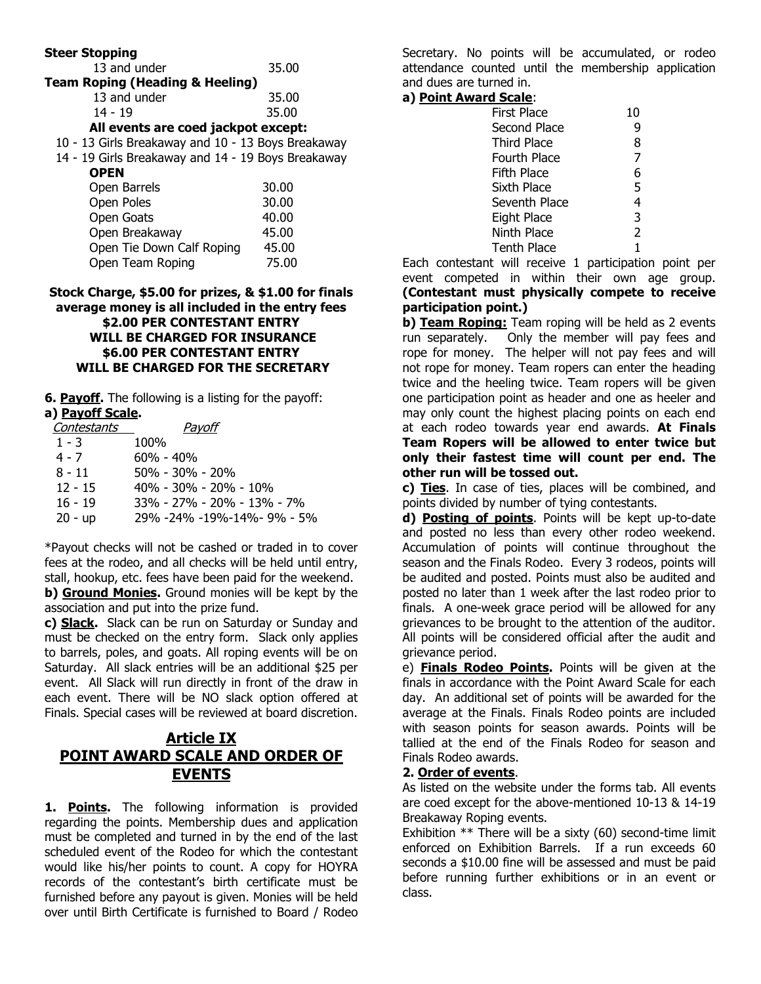| <b>Steer Stopping</b>                              |       |  |
|----------------------------------------------------|-------|--|
| 13 and under                                       | 35.00 |  |
| <b>Team Roping (Heading &amp; Heeling)</b>         |       |  |
| 13 and under                                       | 35.00 |  |
| $14 - 19$                                          | 35.00 |  |
| All events are coed jackpot except:                |       |  |
| 10 - 13 Girls Breakaway and 10 - 13 Boys Breakaway |       |  |
| 14 - 19 Girls Breakaway and 14 - 19 Boys Breakaway |       |  |
| <b>OPEN</b>                                        |       |  |
| Open Barrels                                       | 30.00 |  |
| Open Poles                                         | 30.00 |  |
| Open Goats                                         | 40.00 |  |

| upun uuuw                 | 10.UU |
|---------------------------|-------|
| Open Breakaway            | 45.00 |
| Open Tie Down Calf Roping | 45.00 |
| Open Team Roping          | 75.00 |
|                           |       |
|                           |       |

#### **Stock Charge, \$5.00 for prizes, & \$1.00 for finals average money is all included in the entry fees \$2.00 PER CONTESTANT ENTRY WILL BE CHARGED FOR INSURANCE \$6.00 PER CONTESTANT ENTRY WILL BE CHARGED FOR THE SECRETARY**

**6. Payoff.** The following is a listing for the payoff: **a) Payoff Scale.**

| Pavoff                     |
|----------------------------|
| 100%                       |
| $60\% - 40\%$              |
| $50\% - 30\% - 20\%$       |
| 40% - 30% - 20% - 10%      |
| 33% - 27% - 20% - 13% - 7% |
| 29% -24% -19%-14%- 9% - 5% |
|                            |

\*Payout checks will not be cashed or traded in to cover fees at the rodeo, and all checks will be held until entry, stall, hookup, etc. fees have been paid for the weekend.

**b) Ground Monies.** Ground monies will be kept by the association and put into the prize fund.

**c) Slack.** Slack can be run on Saturday or Sunday and must be checked on the entry form. Slack only applies to barrels, poles, and goats. All roping events will be on Saturday. All slack entries will be an additional \$25 per event. All Slack will run directly in front of the draw in each event. There will be NO slack option offered at Finals. Special cases will be reviewed at board discretion.

# **Article IX POINT AWARD SCALE AND ORDER OF EVENTS**

1. Points. The following information is provided regarding the points. Membership dues and application must be completed and turned in by the end of the last scheduled event of the Rodeo for which the contestant would like his/her points to count. A copy for HOYRA records of the contestant's birth certificate must be furnished before any payout is given. Monies will be held over until Birth Certificate is furnished to Board / Rodeo

Secretary. No points will be accumulated, or rodeo attendance counted until the membership application and dues are turned in.

## **a) Point Award Scale**:

| <b>First Place</b>  | 10 |
|---------------------|----|
| <b>Second Place</b> | 9  |
| <b>Third Place</b>  | 8  |
| Fourth Place        | 7  |
| Fifth Place         | 6  |
| Sixth Place         | 5  |
| Seventh Place       | 4  |
| <b>Eight Place</b>  | 3  |
| Ninth Place         | 2  |
| <b>Tenth Place</b>  | 1  |
|                     |    |

Each contestant will receive 1 participation point per event competed in within their own age group. **(Contestant must physically compete to receive participation point.)**

**b) Team Roping:** Team roping will be held as 2 events run separately. Only the member will pay fees and rope for money. The helper will not pay fees and will not rope for money. Team ropers can enter the heading twice and the heeling twice. Team ropers will be given one participation point as header and one as heeler and may only count the highest placing points on each end at each rodeo towards year end awards. **At Finals**

#### **Team Ropers will be allowed to enter twice but only their fastest time will count per end. The other run will be tossed out.**

**c) Ties**. In case of ties, places will be combined, and points divided by number of tying contestants.

**d) Posting of points**. Points will be kept up-to-date and posted no less than every other rodeo weekend. Accumulation of points will continue throughout the season and the Finals Rodeo. Every 3 rodeos, points will be audited and posted. Points must also be audited and posted no later than 1 week after the last rodeo prior to finals. A one-week grace period will be allowed for any grievances to be brought to the attention of the auditor. All points will be considered official after the audit and grievance period.

e) **Finals Rodeo Points.** Points will be given at the finals in accordance with the Point Award Scale for each day. An additional set of points will be awarded for the average at the Finals. Finals Rodeo points are included with season points for season awards. Points will be tallied at the end of the Finals Rodeo for season and Finals Rodeo awards.

### **2. Order of events**.

As listed on the website under the forms tab. All events are coed except for the above-mentioned 10-13 & 14-19 Breakaway Roping events.

Exhibition \*\* There will be a sixty (60) second-time limit enforced on Exhibition Barrels. If a run exceeds 60 seconds a \$10.00 fine will be assessed and must be paid before running further exhibitions or in an event or class.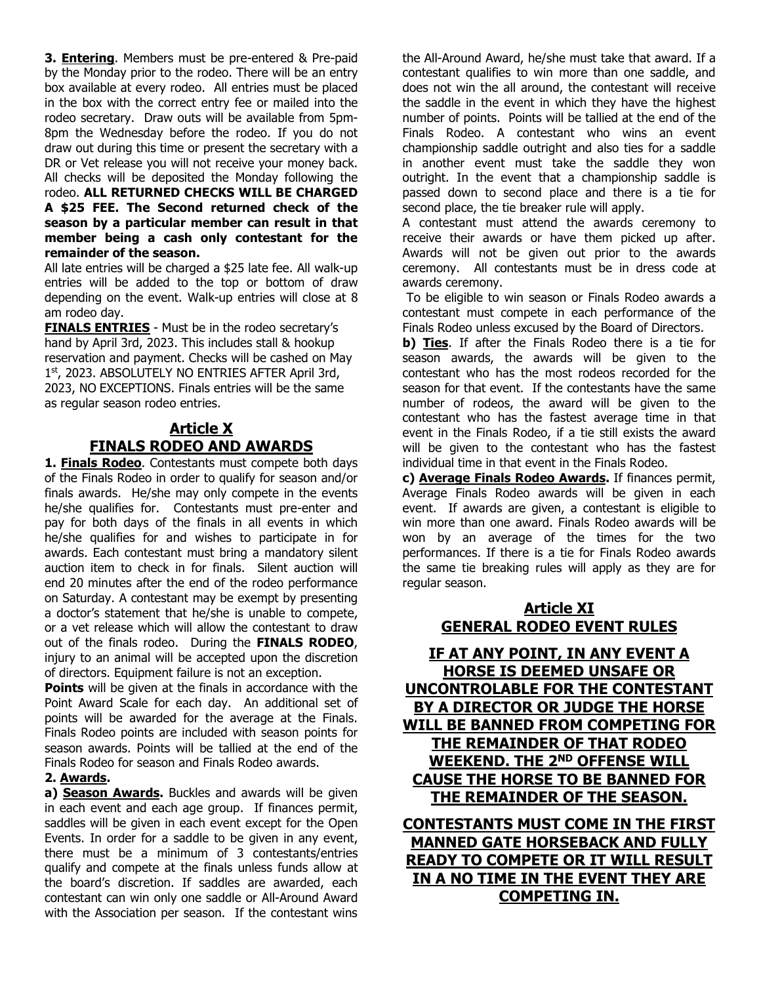**3. Entering**. Members must be pre-entered & Pre-paid by the Monday prior to the rodeo. There will be an entry box available at every rodeo. All entries must be placed in the box with the correct entry fee or mailed into the rodeo secretary. Draw outs will be available from 5pm-8pm the Wednesday before the rodeo. If you do not draw out during this time or present the secretary with a DR or Vet release you will not receive your money back. All checks will be deposited the Monday following the rodeo. **ALL RETURNED CHECKS WILL BE CHARGED A \$25 FEE. The Second returned check of the season by a particular member can result in that member being a cash only contestant for the remainder of the season.**

All late entries will be charged a \$25 late fee. All walk-up entries will be added to the top or bottom of draw depending on the event. Walk-up entries will close at 8 am rodeo day.

**FINALS ENTRIES** - Must be in the rodeo secretary's hand by April 3rd, 2023. This includes stall & hookup reservation and payment. Checks will be cashed on May 1st, 2023. ABSOLUTELY NO ENTRIES AFTER April 3rd, 2023, NO EXCEPTIONS. Finals entries will be the same as regular season rodeo entries.

# **Article X FINALS RODEO AND AWARDS**

**1. Finals Rodeo**. Contestants must compete both days of the Finals Rodeo in order to qualify for season and/or finals awards. He/she may only compete in the events he/she qualifies for. Contestants must pre-enter and pay for both days of the finals in all events in which he/she qualifies for and wishes to participate in for awards. Each contestant must bring a mandatory silent auction item to check in for finals. Silent auction will end 20 minutes after the end of the rodeo performance on Saturday. A contestant may be exempt by presenting a doctor's statement that he/she is unable to compete, or a vet release which will allow the contestant to draw out of the finals rodeo. During the **FINALS RODEO**, injury to an animal will be accepted upon the discretion of directors. Equipment failure is not an exception.

**Points** will be given at the finals in accordance with the Point Award Scale for each day. An additional set of points will be awarded for the average at the Finals. Finals Rodeo points are included with season points for season awards. Points will be tallied at the end of the Finals Rodeo for season and Finals Rodeo awards.

### **2. Awards.**

a) **Season Awards.** Buckles and awards will be given in each event and each age group. If finances permit, saddles will be given in each event except for the Open Events. In order for a saddle to be given in any event, there must be a minimum of 3 contestants/entries qualify and compete at the finals unless funds allow at the board's discretion. If saddles are awarded, each contestant can win only one saddle or All-Around Award with the Association per season. If the contestant wins

the All-Around Award, he/she must take that award. If a contestant qualifies to win more than one saddle, and does not win the all around, the contestant will receive the saddle in the event in which they have the highest number of points. Points will be tallied at the end of the Finals Rodeo. A contestant who wins an event championship saddle outright and also ties for a saddle in another event must take the saddle they won outright. In the event that a championship saddle is passed down to second place and there is a tie for second place, the tie breaker rule will apply.

A contestant must attend the awards ceremony to receive their awards or have them picked up after. Awards will not be given out prior to the awards ceremony. All contestants must be in dress code at awards ceremony.

To be eligible to win season or Finals Rodeo awards a contestant must compete in each performance of the Finals Rodeo unless excused by the Board of Directors.

**b) Ties**. If after the Finals Rodeo there is a tie for season awards, the awards will be given to the contestant who has the most rodeos recorded for the season for that event. If the contestants have the same number of rodeos, the award will be given to the contestant who has the fastest average time in that event in the Finals Rodeo, if a tie still exists the award will be given to the contestant who has the fastest individual time in that event in the Finals Rodeo.

**c) Average Finals Rodeo Awards.** If finances permit, Average Finals Rodeo awards will be given in each event. If awards are given, a contestant is eligible to win more than one award. Finals Rodeo awards will be won by an average of the times for the two performances. If there is a tie for Finals Rodeo awards the same tie breaking rules will apply as they are for regular season.

## **Article XI GENERAL RODEO EVENT RULES**

**IF AT ANY POINT, IN ANY EVENT A HORSE IS DEEMED UNSAFE OR UNCONTROLABLE FOR THE CONTESTANT BY A DIRECTOR OR JUDGE THE HORSE WILL BE BANNED FROM COMPETING FOR THE REMAINDER OF THAT RODEO WEEKEND. THE 2<sup>ND</sup> OFFENSE WILL CAUSE THE HORSE TO BE BANNED FOR THE REMAINDER OF THE SEASON.**

**CONTESTANTS MUST COME IN THE FIRST MANNED GATE HORSEBACK AND FULLY READY TO COMPETE OR IT WILL RESULT IN A NO TIME IN THE EVENT THEY ARE COMPETING IN.**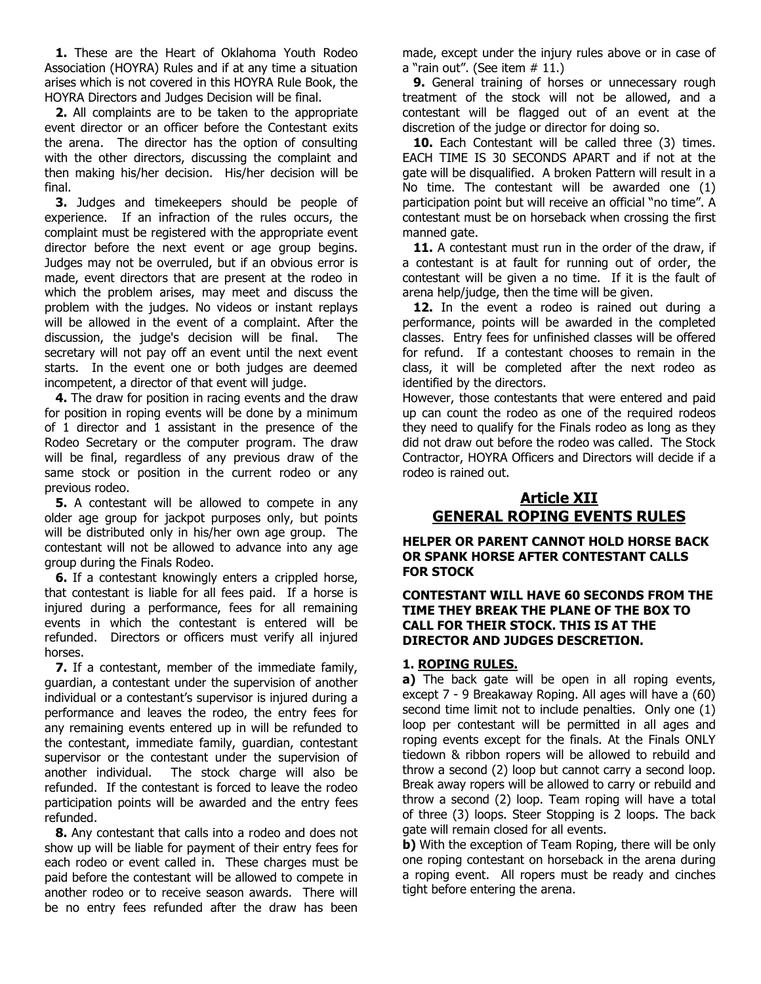**1.** These are the Heart of Oklahoma Youth Rodeo Association (HOYRA) Rules and if at any time a situation arises which is not covered in this HOYRA Rule Book, the HOYRA Directors and Judges Decision will be final.

 **2.** All complaints are to be taken to the appropriate event director or an officer before the Contestant exits the arena. The director has the option of consulting with the other directors, discussing the complaint and then making his/her decision. His/her decision will be final.

 **3.** Judges and timekeepers should be people of experience. If an infraction of the rules occurs, the complaint must be registered with the appropriate event director before the next event or age group begins. Judges may not be overruled, but if an obvious error is made, event directors that are present at the rodeo in which the problem arises, may meet and discuss the problem with the judges. No videos or instant replays will be allowed in the event of a complaint. After the discussion, the judge's decision will be final. The secretary will not pay off an event until the next event starts. In the event one or both judges are deemed incompetent, a director of that event will judge.

 **4.** The draw for position in racing events and the draw for position in roping events will be done by a minimum of 1 director and 1 assistant in the presence of the Rodeo Secretary or the computer program. The draw will be final, regardless of any previous draw of the same stock or position in the current rodeo or any previous rodeo.

**5.** A contestant will be allowed to compete in any older age group for jackpot purposes only, but points will be distributed only in his/her own age group. The contestant will not be allowed to advance into any age group during the Finals Rodeo.

**6.** If a contestant knowingly enters a crippled horse, that contestant is liable for all fees paid. If a horse is injured during a performance, fees for all remaining events in which the contestant is entered will be refunded. Directors or officers must verify all injured horses.

 **7.** If a contestant, member of the immediate family, guardian, a contestant under the supervision of another individual or a contestant's supervisor is injured during a performance and leaves the rodeo, the entry fees for any remaining events entered up in will be refunded to the contestant, immediate family, guardian, contestant supervisor or the contestant under the supervision of another individual. The stock charge will also be refunded. If the contestant is forced to leave the rodeo participation points will be awarded and the entry fees refunded.

 **8.** Any contestant that calls into a rodeo and does not show up will be liable for payment of their entry fees for each rodeo or event called in. These charges must be paid before the contestant will be allowed to compete in another rodeo or to receive season awards. There will be no entry fees refunded after the draw has been

made, except under the injury rules above or in case of a "rain out". (See item  $# 11$ .)

**9.** General training of horses or unnecessary rough treatment of the stock will not be allowed, and a contestant will be flagged out of an event at the discretion of the judge or director for doing so.

10. Each Contestant will be called three (3) times. EACH TIME IS 30 SECONDS APART and if not at the gate will be disqualified. A broken Pattern will result in a No time. The contestant will be awarded one (1) participation point but will receive an official "no time". A contestant must be on horseback when crossing the first manned gate.

11. A contestant must run in the order of the draw, if a contestant is at fault for running out of order, the contestant will be given a no time. If it is the fault of arena help/judge, then the time will be given.

12. In the event a rodeo is rained out during a performance, points will be awarded in the completed classes. Entry fees for unfinished classes will be offered for refund. If a contestant chooses to remain in the class, it will be completed after the next rodeo as identified by the directors.

However, those contestants that were entered and paid up can count the rodeo as one of the required rodeos they need to qualify for the Finals rodeo as long as they did not draw out before the rodeo was called. The Stock Contractor, HOYRA Officers and Directors will decide if a rodeo is rained out.

## **Article XII GENERAL ROPING EVENTS RULES**

**HELPER OR PARENT CANNOT HOLD HORSE BACK OR SPANK HORSE AFTER CONTESTANT CALLS FOR STOCK**

#### **CONTESTANT WILL HAVE 60 SECONDS FROM THE TIME THEY BREAK THE PLANE OF THE BOX TO CALL FOR THEIR STOCK. THIS IS AT THE DIRECTOR AND JUDGES DESCRETION.**

### **1. ROPING RULES.**

**a)** The back gate will be open in all roping events, except 7 - 9 Breakaway Roping. All ages will have a (60) second time limit not to include penalties. Only one (1) loop per contestant will be permitted in all ages and roping events except for the finals. At the Finals ONLY tiedown & ribbon ropers will be allowed to rebuild and throw a second (2) loop but cannot carry a second loop. Break away ropers will be allowed to carry or rebuild and throw a second (2) loop. Team roping will have a total of three (3) loops. Steer Stopping is 2 loops. The back gate will remain closed for all events.

**b)** With the exception of Team Roping, there will be only one roping contestant on horseback in the arena during a roping event. All ropers must be ready and cinches tight before entering the arena.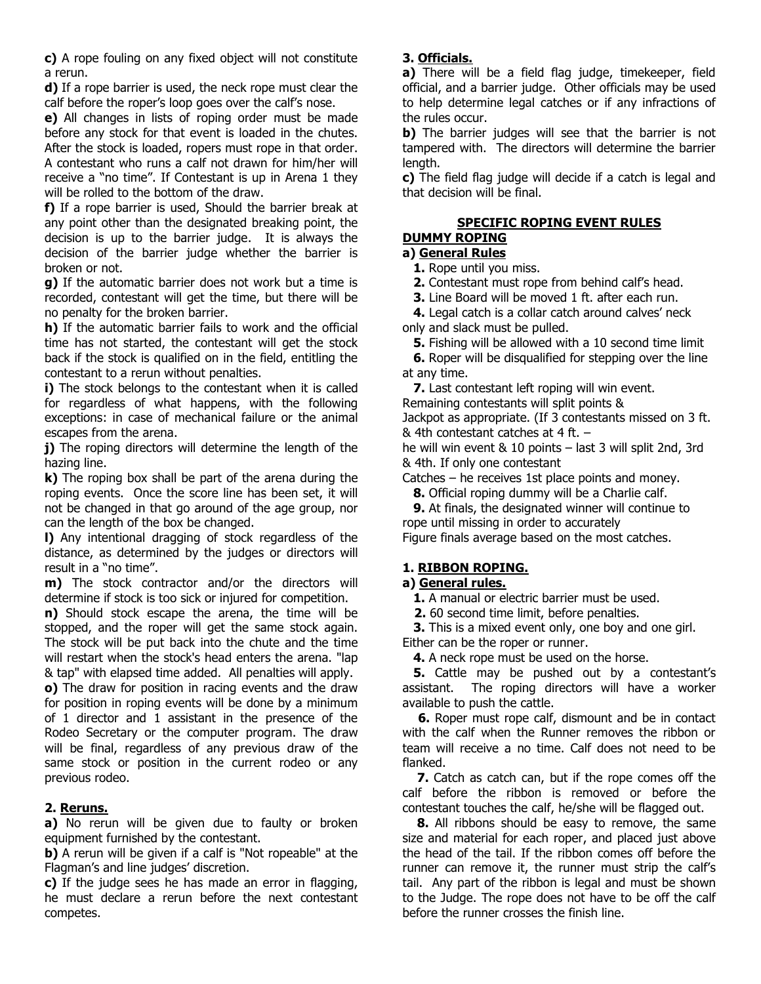**c)** A rope fouling on any fixed object will not constitute a rerun.

**d)** If a rope barrier is used, the neck rope must clear the calf before the roper's loop goes over the calf's nose.

**e)** All changes in lists of roping order must be made before any stock for that event is loaded in the chutes. After the stock is loaded, ropers must rope in that order. A contestant who runs a calf not drawn for him/her will receive a "no time". If Contestant is up in Arena 1 they will be rolled to the bottom of the draw.

**f)** If a rope barrier is used, Should the barrier break at any point other than the designated breaking point, the decision is up to the barrier judge. It is always the decision of the barrier judge whether the barrier is broken or not.

**g)** If the automatic barrier does not work but a time is recorded, contestant will get the time, but there will be no penalty for the broken barrier.

**h)** If the automatic barrier fails to work and the official time has not started, the contestant will get the stock back if the stock is qualified on in the field, entitling the contestant to a rerun without penalties.

**i)** The stock belongs to the contestant when it is called for regardless of what happens, with the following exceptions: in case of mechanical failure or the animal escapes from the arena.

**j)** The roping directors will determine the length of the hazing line.

**k)** The roping box shall be part of the arena during the roping events. Once the score line has been set, it will not be changed in that go around of the age group, nor can the length of the box be changed.

**l)** Any intentional dragging of stock regardless of the distance, as determined by the judges or directors will result in a "no time".

**m)** The stock contractor and/or the directors will determine if stock is too sick or injured for competition.

**n)** Should stock escape the arena, the time will be stopped, and the roper will get the same stock again. The stock will be put back into the chute and the time will restart when the stock's head enters the arena. "lap & tap" with elapsed time added. All penalties will apply.

**o)** The draw for position in racing events and the draw for position in roping events will be done by a minimum of 1 director and 1 assistant in the presence of the Rodeo Secretary or the computer program. The draw will be final, regardless of any previous draw of the same stock or position in the current rodeo or any previous rodeo.

## **2. Reruns.**

**a)** No rerun will be given due to faulty or broken equipment furnished by the contestant.

**b)** A rerun will be given if a calf is "Not ropeable" at the Flagman's and line judges' discretion.

**c)** If the judge sees he has made an error in flagging, he must declare a rerun before the next contestant competes.

## **3. Officials.**

**a)** There will be a field flag judge, timekeeper, field official, and a barrier judge. Other officials may be used to help determine legal catches or if any infractions of the rules occur.

**b)** The barrier judges will see that the barrier is not tampered with. The directors will determine the barrier length.

**c)** The field flag judge will decide if a catch is legal and that decision will be final.

#### **SPECIFIC ROPING EVENT RULES DUMMY ROPING**

## **a) General Rules**

 **1.** Rope until you miss.

 **2.** Contestant must rope from behind calf's head.

 **3.** Line Board will be moved 1 ft. after each run.

 **4.** Legal catch is a collar catch around calves' neck only and slack must be pulled.

 **5.** Fishing will be allowed with a 10 second time limit

 **6.** Roper will be disqualified for stepping over the line at any time.

 **7.** Last contestant left roping will win event.

Remaining contestants will split points &

Jackpot as appropriate. (If 3 contestants missed on 3 ft. & 4th contestant catches at 4 ft. –

he will win event & 10 points – last 3 will split 2nd, 3rd & 4th. If only one contestant

Catches – he receives 1st place points and money.

 **8.** Official roping dummy will be a Charlie calf.

 **9.** At finals, the designated winner will continue to rope until missing in order to accurately

Figure finals average based on the most catches.

## **1. RIBBON ROPING.**

## **a) General rules.**

 **1.** A manual or electric barrier must be used.

**2.** 60 second time limit, before penalties.

 **3.** This is a mixed event only, one boy and one girl. Either can be the roper or runner.

 **4.** A neck rope must be used on the horse.

**5.** Cattle may be pushed out by a contestant's assistant. The roping directors will have a worker available to push the cattle.

 **6.** Roper must rope calf, dismount and be in contact with the calf when the Runner removes the ribbon or team will receive a no time. Calf does not need to be flanked.

 **7.** Catch as catch can, but if the rope comes off the calf before the ribbon is removed or before the contestant touches the calf, he/she will be flagged out.

 **8.** All ribbons should be easy to remove, the same size and material for each roper, and placed just above the head of the tail. If the ribbon comes off before the runner can remove it, the runner must strip the calf's tail. Any part of the ribbon is legal and must be shown to the Judge. The rope does not have to be off the calf before the runner crosses the finish line.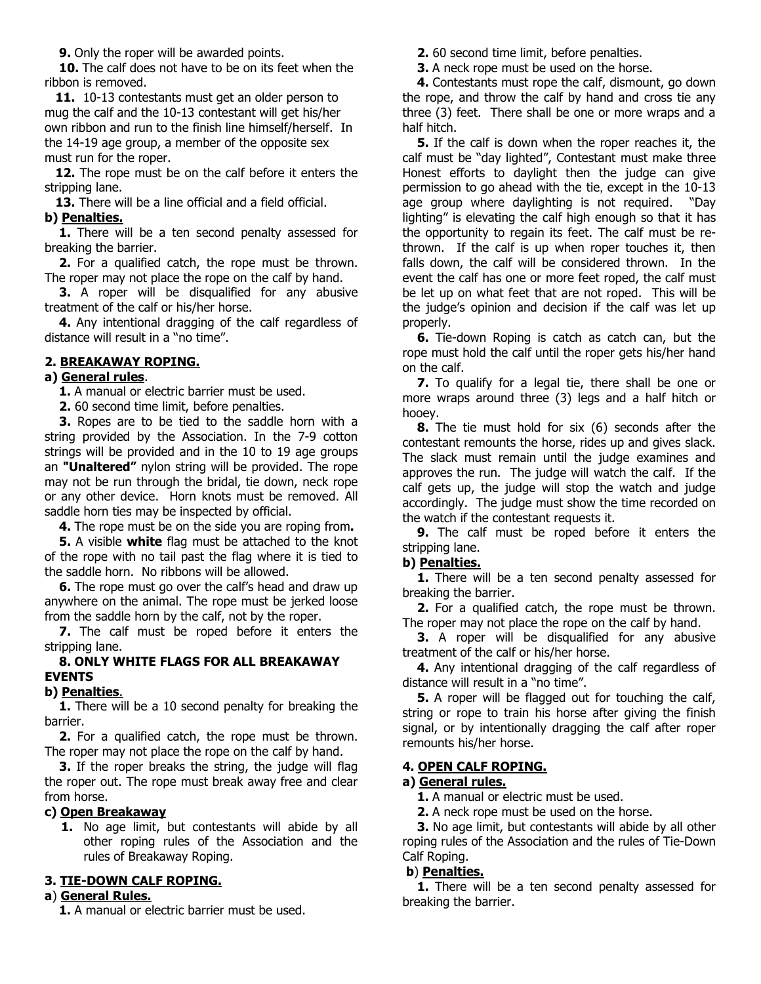**9.** Only the roper will be awarded points.

**10.** The calf does not have to be on its feet when the ribbon is removed.

**11.** 10-13 contestants must get an older person to mug the calf and the 10-13 contestant will get his/her own ribbon and run to the finish line himself/herself. In the 14-19 age group, a member of the opposite sex must run for the roper.

**12.** The rope must be on the calf before it enters the stripping lane.

 **13.** There will be a line official and a field official. **b) Penalties.**

**1.** There will be a ten second penalty assessed for breaking the barrier.

 **2.** For a qualified catch, the rope must be thrown. The roper may not place the rope on the calf by hand.

**3.** A roper will be disqualified for any abusive treatment of the calf or his/her horse.

 **4.** Any intentional dragging of the calf regardless of distance will result in a "no time".

## **2. BREAKAWAY ROPING.**

### **a) General rules**.

 **1.** A manual or electric barrier must be used.

 **2.** 60 second time limit, before penalties.

 **3.** Ropes are to be tied to the saddle horn with a string provided by the Association. In the 7-9 cotton strings will be provided and in the 10 to 19 age groups an **"Unaltered"** nylon string will be provided. The rope may not be run through the bridal, tie down, neck rope or any other device. Horn knots must be removed. All saddle horn ties may be inspected by official.

 **4.** The rope must be on the side you are roping from**.**

 **5.** A visible **white** flag must be attached to the knot of the rope with no tail past the flag where it is tied to the saddle horn. No ribbons will be allowed.

**6.** The rope must go over the calf's head and draw up anywhere on the animal. The rope must be jerked loose from the saddle horn by the calf, not by the roper.

**7.** The calf must be roped before it enters the stripping lane.

### **8. ONLY WHITE FLAGS FOR ALL BREAKAWAY EVENTS**

#### **b) Penalties**.

**1.** There will be a 10 second penalty for breaking the barrier.

 **2.** For a qualified catch, the rope must be thrown. The roper may not place the rope on the calf by hand.

 **3.** If the roper breaks the string, the judge will flag the roper out. The rope must break away free and clear from horse.

#### **c) Open Breakaway**

**1.** No age limit, but contestants will abide by all other roping rules of the Association and the rules of Breakaway Roping.

### **3. TIE-DOWN CALF ROPING.**

### **a**) **General Rules.**

 **1.** A manual or electric barrier must be used.

 **2.** 60 second time limit, before penalties.

 **3.** A neck rope must be used on the horse.

 **4.** Contestants must rope the calf, dismount, go down the rope, and throw the calf by hand and cross tie any three (3) feet. There shall be one or more wraps and a half hitch.

 **5.** If the calf is down when the roper reaches it, the calf must be "day lighted", Contestant must make three Honest efforts to daylight then the judge can give permission to go ahead with the tie, except in the 10-13 age group where daylighting is not required. "Day lighting" is elevating the calf high enough so that it has the opportunity to regain its feet. The calf must be rethrown. If the calf is up when roper touches it, then falls down, the calf will be considered thrown. In the event the calf has one or more feet roped, the calf must be let up on what feet that are not roped. This will be the judge's opinion and decision if the calf was let up properly.

 **6.** Tie-down Roping is catch as catch can, but the rope must hold the calf until the roper gets his/her hand on the calf.

 **7.** To qualify for a legal tie, there shall be one or more wraps around three (3) legs and a half hitch or hooey.

 **8.** The tie must hold for six (6) seconds after the contestant remounts the horse, rides up and gives slack. The slack must remain until the judge examines and approves the run. The judge will watch the calf. If the calf gets up, the judge will stop the watch and judge accordingly. The judge must show the time recorded on the watch if the contestant requests it.

 **9.** The calf must be roped before it enters the stripping lane.

### **b) Penalties.**

 **1.** There will be a ten second penalty assessed for breaking the barrier.

 **2.** For a qualified catch, the rope must be thrown. The roper may not place the rope on the calf by hand.

**3.** A roper will be disqualified for any abusive treatment of the calf or his/her horse.

 **4.** Any intentional dragging of the calf regardless of distance will result in a "no time".

 **5.** A roper will be flagged out for touching the calf, string or rope to train his horse after giving the finish signal, or by intentionally dragging the calf after roper remounts his/her horse.

#### **4. OPEN CALF ROPING.**

### **a) General rules.**

 **1.** A manual or electric must be used.

 **2.** A neck rope must be used on the horse.

 **3.** No age limit, but contestants will abide by all other roping rules of the Association and the rules of Tie-Down Calf Roping.

### **b**) **Penalties.**

 **1.** There will be a ten second penalty assessed for breaking the barrier.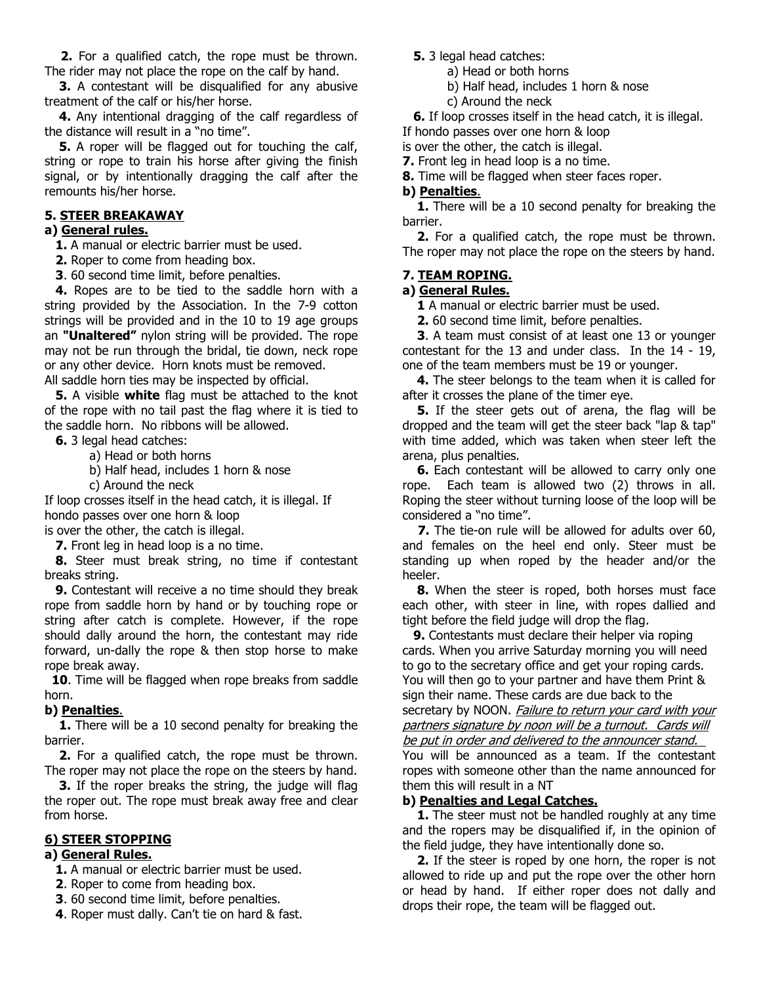**2.** For a qualified catch, the rope must be thrown. The rider may not place the rope on the calf by hand.

**3.** A contestant will be disqualified for any abusive treatment of the calf or his/her horse.

 **4.** Any intentional dragging of the calf regardless of the distance will result in a "no time".

**5.** A roper will be flagged out for touching the calf, string or rope to train his horse after giving the finish signal, or by intentionally dragging the calf after the remounts his/her horse.

#### **5. STEER BREAKAWAY**

### **a) General rules.**

 **1.** A manual or electric barrier must be used.

- **2.** Roper to come from heading box.
- **3**. 60 second time limit, before penalties.

 **4.** Ropes are to be tied to the saddle horn with a string provided by the Association. In the 7-9 cotton strings will be provided and in the 10 to 19 age groups an **"Unaltered"** nylon string will be provided. The rope may not be run through the bridal, tie down, neck rope or any other device. Horn knots must be removed. All saddle horn ties may be inspected by official.

 **5.** A visible **white** flag must be attached to the knot of the rope with no tail past the flag where it is tied to the saddle horn. No ribbons will be allowed.

 **6.** 3 legal head catches:

- a) Head or both horns
- b) Half head, includes 1 horn & nose
- c) Around the neck

If loop crosses itself in the head catch, it is illegal. If hondo passes over one horn & loop

is over the other, the catch is illegal.

 **7.** Front leg in head loop is a no time.

 **8.** Steer must break string, no time if contestant breaks string.

 **9.** Contestant will receive a no time should they break rope from saddle horn by hand or by touching rope or string after catch is complete. However, if the rope should dally around the horn, the contestant may ride forward, un-dally the rope & then stop horse to make rope break away.

**10**. Time will be flagged when rope breaks from saddle horn.

#### **b) Penalties**.

 **1.** There will be a 10 second penalty for breaking the barrier.

 **2.** For a qualified catch, the rope must be thrown. The roper may not place the rope on the steers by hand.

 **3.** If the roper breaks the string, the judge will flag the roper out. The rope must break away free and clear from horse.

#### **6) STEER STOPPING**

## **a) General Rules.**

 **1.** A manual or electric barrier must be used.

- **2**. Roper to come from heading box.
- **3**. 60 second time limit, before penalties.
- **4**. Roper must dally. Can't tie on hard & fast.
- **5.** 3 legal head catches:
	- a) Head or both horns
	- b) Half head, includes 1 horn & nose
	- c) Around the neck
- **6.** If loop crosses itself in the head catch, it is illegal.

If hondo passes over one horn & loop

- is over the other, the catch is illegal.
- **7.** Front leg in head loop is a no time.
- **8.** Time will be flagged when steer faces roper.

### **b) Penalties**.

 **1.** There will be a 10 second penalty for breaking the barrier.

 **2.** For a qualified catch, the rope must be thrown. The roper may not place the rope on the steers by hand. 

#### **7. TEAM ROPING.**

#### **a) General Rules.**

 **1** A manual or electric barrier must be used.

 **2.** 60 second time limit, before penalties.

 **3**. A team must consist of at least one 13 or younger contestant for the 13 and under class. In the 14 - 19, one of the team members must be 19 or younger.

 **4.** The steer belongs to the team when it is called for after it crosses the plane of the timer eye.

 **5.** If the steer gets out of arena, the flag will be dropped and the team will get the steer back "lap & tap" with time added, which was taken when steer left the arena, plus penalties.

**6.** Each contestant will be allowed to carry only one rope. Each team is allowed two (2) throws in all. Roping the steer without turning loose of the loop will be considered a "no time".

 **7.** The tie-on rule will be allowed for adults over 60, and females on the heel end only. Steer must be standing up when roped by the header and/or the heeler.

 **8.** When the steer is roped, both horses must face each other, with steer in line, with ropes dallied and tight before the field judge will drop the flag.

**9.** Contestants must declare their helper via roping cards. When you arrive Saturday morning you will need to go to the secretary office and get your roping cards. You will then go to your partner and have them Print & sign their name. These cards are due back to the secretary by NOON. Failure to return your card with your partners signature by noon will be a turnout. Cards will be put in order and delivered to the announcer stand.

You will be announced as a team. If the contestant ropes with someone other than the name announced for them this will result in a NT

#### **b) Penalties and Legal Catches.**

**1.** The steer must not be handled roughly at any time and the ropers may be disqualified if, in the opinion of the field judge, they have intentionally done so.

 **2.** If the steer is roped by one horn, the roper is not allowed to ride up and put the rope over the other horn or head by hand. If either roper does not dally and drops their rope, the team will be flagged out.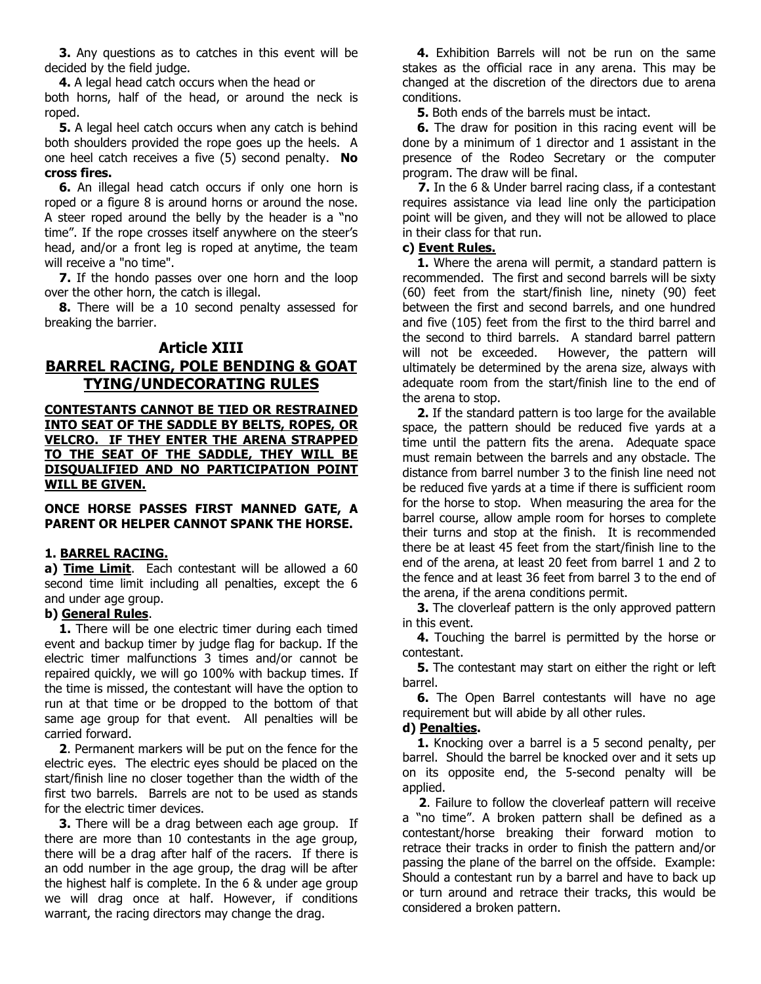**3.** Any questions as to catches in this event will be decided by the field judge.

 **4.** A legal head catch occurs when the head or

both horns, half of the head, or around the neck is roped.

 **5.** A legal heel catch occurs when any catch is behind both shoulders provided the rope goes up the heels. A one heel catch receives a five (5) second penalty. **No cross fires.** 

**6.** An illegal head catch occurs if only one horn is roped or a figure 8 is around horns or around the nose. A steer roped around the belly by the header is a "no time". If the rope crosses itself anywhere on the steer's head, and/or a front leg is roped at anytime, the team will receive a "no time".

 **7.** If the hondo passes over one horn and the loop over the other horn, the catch is illegal.

 **8.** There will be a 10 second penalty assessed for breaking the barrier.

## **Article XIII BARREL RACING, POLE BENDING & GOAT TYING/UNDECORATING RULES**

**CONTESTANTS CANNOT BE TIED OR RESTRAINED INTO SEAT OF THE SADDLE BY BELTS, ROPES, OR VELCRO. IF THEY ENTER THE ARENA STRAPPED TO THE SEAT OF THE SADDLE, THEY WILL BE DISQUALIFIED AND NO PARTICIPATION POINT WILL BE GIVEN.**

#### **ONCE HORSE PASSES FIRST MANNED GATE, A PARENT OR HELPER CANNOT SPANK THE HORSE.**

### **1. BARREL RACING.**

**a) Time Limit**. Each contestant will be allowed a 60 second time limit including all penalties, except the 6 and under age group.

## **b) General Rules**.

 **1.** There will be one electric timer during each timed event and backup timer by judge flag for backup. If the electric timer malfunctions 3 times and/or cannot be repaired quickly, we will go 100% with backup times. If the time is missed, the contestant will have the option to run at that time or be dropped to the bottom of that same age group for that event. All penalties will be carried forward.

 **2**. Permanent markers will be put on the fence for the electric eyes. The electric eyes should be placed on the start/finish line no closer together than the width of the first two barrels. Barrels are not to be used as stands for the electric timer devices.

**3.** There will be a drag between each age group. If there are more than 10 contestants in the age group, there will be a drag after half of the racers. If there is an odd number in the age group, the drag will be after the highest half is complete. In the 6 & under age group we will drag once at half. However, if conditions warrant, the racing directors may change the drag.

 **4.** Exhibition Barrels will not be run on the same stakes as the official race in any arena. This may be changed at the discretion of the directors due to arena conditions.

 **5.** Both ends of the barrels must be intact.

**6.** The draw for position in this racing event will be done by a minimum of 1 director and 1 assistant in the presence of the Rodeo Secretary or the computer program. The draw will be final.

 **7.** In the 6 & Under barrel racing class, if a contestant requires assistance via lead line only the participation point will be given, and they will not be allowed to place in their class for that run.

### **c) Event Rules.**

 **1.** Where the arena will permit, a standard pattern is recommended. The first and second barrels will be sixty (60) feet from the start/finish line, ninety (90) feet between the first and second barrels, and one hundred and five (105) feet from the first to the third barrel and the second to third barrels. A standard barrel pattern will not be exceeded. However, the pattern will ultimately be determined by the arena size, always with adequate room from the start/finish line to the end of the arena to stop.

 **2.** If the standard pattern is too large for the available space, the pattern should be reduced five yards at a time until the pattern fits the arena. Adequate space must remain between the barrels and any obstacle. The distance from barrel number 3 to the finish line need not be reduced five yards at a time if there is sufficient room for the horse to stop. When measuring the area for the barrel course, allow ample room for horses to complete their turns and stop at the finish. It is recommended there be at least 45 feet from the start/finish line to the end of the arena, at least 20 feet from barrel 1 and 2 to the fence and at least 36 feet from barrel 3 to the end of the arena, if the arena conditions permit.

**3.** The cloverleaf pattern is the only approved pattern in this event.

 **4.** Touching the barrel is permitted by the horse or contestant.

 **5.** The contestant may start on either the right or left barrel.

 **6.** The Open Barrel contestants will have no age requirement but will abide by all other rules.

#### **d) Penalties.**

 **1.** Knocking over a barrel is a 5 second penalty, per barrel. Should the barrel be knocked over and it sets up on its opposite end, the 5-second penalty will be applied.

 **2**. Failure to follow the cloverleaf pattern will receive a "no time". A broken pattern shall be defined as a contestant/horse breaking their forward motion to retrace their tracks in order to finish the pattern and/or passing the plane of the barrel on the offside. Example: Should a contestant run by a barrel and have to back up or turn around and retrace their tracks, this would be considered a broken pattern.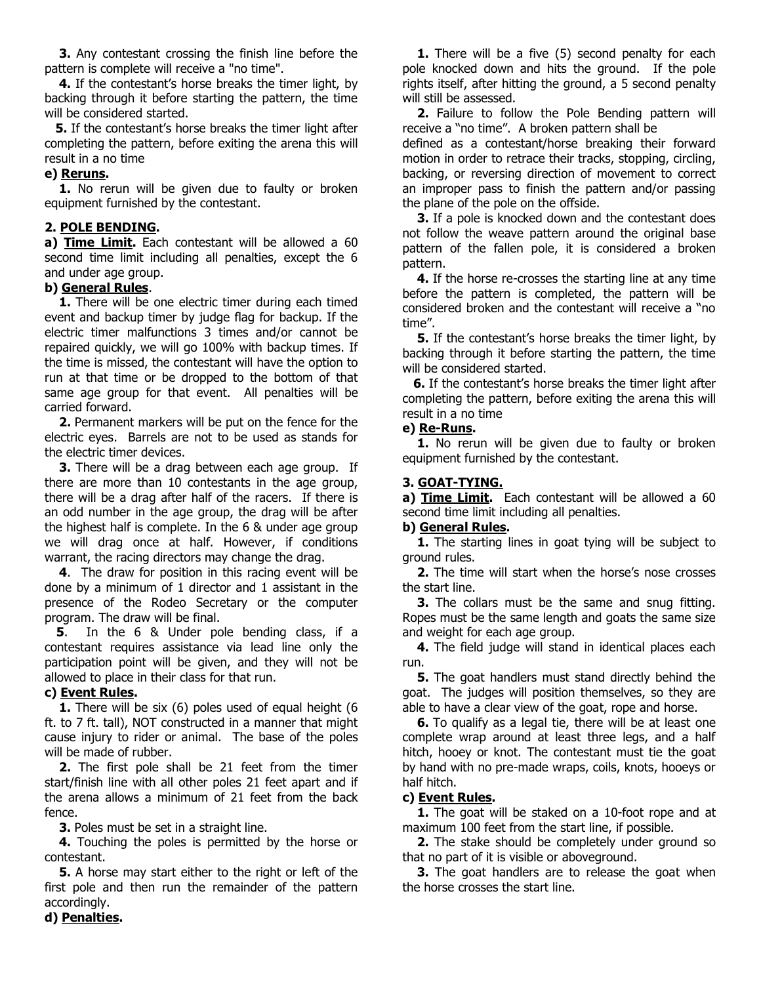**3.** Any contestant crossing the finish line before the pattern is complete will receive a "no time".

 **4.** If the contestant's horse breaks the timer light, by backing through it before starting the pattern, the time will be considered started.

 **5.** If the contestant's horse breaks the timer light after completing the pattern, before exiting the arena this will result in a no time

#### **e) Reruns.**

**1.** No rerun will be given due to faulty or broken equipment furnished by the contestant.

### **2. POLE BENDING.**

**a) Time Limit.** Each contestant will be allowed a 60 second time limit including all penalties, except the 6 and under age group.

## **b) General Rules**.

**1.** There will be one electric timer during each timed event and backup timer by judge flag for backup. If the electric timer malfunctions 3 times and/or cannot be repaired quickly, we will go 100% with backup times. If the time is missed, the contestant will have the option to run at that time or be dropped to the bottom of that same age group for that event. All penalties will be carried forward.

 **2.** Permanent markers will be put on the fence for the electric eyes. Barrels are not to be used as stands for the electric timer devices.

**3.** There will be a drag between each age group. If there are more than 10 contestants in the age group, there will be a drag after half of the racers. If there is an odd number in the age group, the drag will be after the highest half is complete. In the 6 & under age group we will drag once at half. However, if conditions warrant, the racing directors may change the drag.

 **4**. The draw for position in this racing event will be done by a minimum of 1 director and 1 assistant in the presence of the Rodeo Secretary or the computer program. The draw will be final.

 **5**. In the 6 & Under pole bending class, if a contestant requires assistance via lead line only the participation point will be given, and they will not be allowed to place in their class for that run.

### **c) Event Rules.**

**1.** There will be six (6) poles used of equal height (6) ft. to 7 ft. tall), NOT constructed in a manner that might cause injury to rider or animal. The base of the poles will be made of rubber.

 **2.** The first pole shall be 21 feet from the timer start/finish line with all other poles 21 feet apart and if the arena allows a minimum of 21 feet from the back fence.

 **3.** Poles must be set in a straight line.

 **4.** Touching the poles is permitted by the horse or contestant.

 **5.** A horse may start either to the right or left of the first pole and then run the remainder of the pattern accordingly.

**1.** There will be a five (5) second penalty for each pole knocked down and hits the ground. If the pole rights itself, after hitting the ground, a 5 second penalty will still be assessed.

 **2.** Failure to follow the Pole Bending pattern will receive a "no time". A broken pattern shall be

defined as a contestant/horse breaking their forward motion in order to retrace their tracks, stopping, circling, backing, or reversing direction of movement to correct an improper pass to finish the pattern and/or passing the plane of the pole on the offside.

 **3.** If a pole is knocked down and the contestant does not follow the weave pattern around the original base pattern of the fallen pole, it is considered a broken pattern.

 **4.** If the horse re-crosses the starting line at any time before the pattern is completed, the pattern will be considered broken and the contestant will receive a "no time".

 **5.** If the contestant's horse breaks the timer light, by backing through it before starting the pattern, the time will be considered started.

 **6.** If the contestant's horse breaks the timer light after completing the pattern, before exiting the arena this will result in a no time

## **e) Re-Runs.**

**1.** No rerun will be given due to faulty or broken equipment furnished by the contestant. 

## **3. GOAT-TYING.**

**a) Time Limit.** Each contestant will be allowed a 60 second time limit including all penalties.

### **b) General Rules.**

**1.** The starting lines in goat tying will be subject to ground rules.

 **2.** The time will start when the horse's nose crosses the start line.

**3.** The collars must be the same and snug fitting. Ropes must be the same length and goats the same size and weight for each age group.

 **4.** The field judge will stand in identical places each run.

**5.** The goat handlers must stand directly behind the goat. The judges will position themselves, so they are able to have a clear view of the goat, rope and horse.

 **6.** To qualify as a legal tie, there will be at least one complete wrap around at least three legs, and a half hitch, hooey or knot. The contestant must tie the goat by hand with no pre-made wraps, coils, knots, hooeys or half hitch.

### **c) Event Rules.**

 **1.** The goat will be staked on a 10-foot rope and at maximum 100 feet from the start line, if possible.

**2.** The stake should be completely under ground so that no part of it is visible or aboveground.

**3.** The goat handlers are to release the goat when the horse crosses the start line.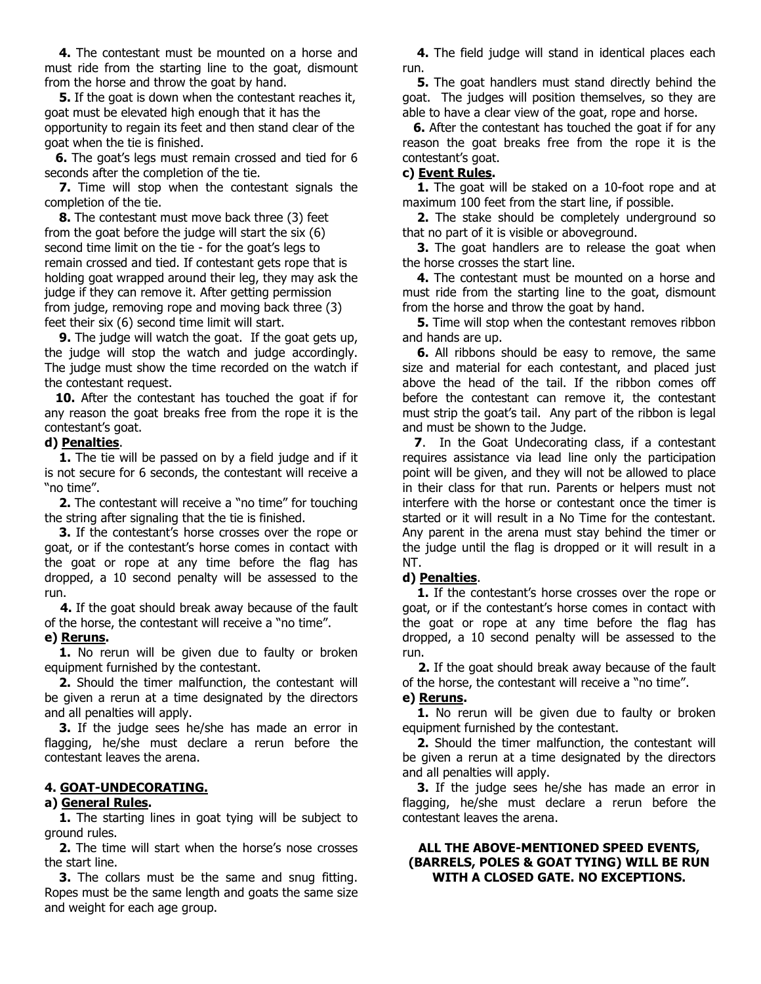**4.** The contestant must be mounted on a horse and must ride from the starting line to the goat, dismount from the horse and throw the goat by hand.

 **5.** If the goat is down when the contestant reaches it, goat must be elevated high enough that it has the opportunity to regain its feet and then stand clear of the goat when the tie is finished.

 **6.** The goat's legs must remain crossed and tied for 6 seconds after the completion of the tie.

 **7.** Time will stop when the contestant signals the completion of the tie.

 **8.** The contestant must move back three (3) feet from the goat before the judge will start the six (6) second time limit on the tie - for the goat's legs to remain crossed and tied. If contestant gets rope that is holding goat wrapped around their leg, they may ask the judge if they can remove it. After getting permission from judge, removing rope and moving back three (3) feet their six (6) second time limit will start.

**9.** The judge will watch the goat. If the goat gets up, the judge will stop the watch and judge accordingly. The judge must show the time recorded on the watch if the contestant request.

 **10.** After the contestant has touched the goat if for any reason the goat breaks free from the rope it is the contestant's goat.

#### **d) Penalties**.

 **1.** The tie will be passed on by a field judge and if it is not secure for 6 seconds, the contestant will receive a "no time".

**2.** The contestant will receive a "no time" for touching the string after signaling that the tie is finished.

 **3.** If the contestant's horse crosses over the rope or goat, or if the contestant's horse comes in contact with the goat or rope at any time before the flag has dropped, a 10 second penalty will be assessed to the run.

 **4.** If the goat should break away because of the fault of the horse, the contestant will receive a "no time".

## **e) Reruns.**

 **1.** No rerun will be given due to faulty or broken equipment furnished by the contestant.

 **2.** Should the timer malfunction, the contestant will be given a rerun at a time designated by the directors and all penalties will apply.

 **3.** If the judge sees he/she has made an error in flagging, he/she must declare a rerun before the contestant leaves the arena.

### **4. GOAT-UNDECORATING.**

#### **a) General Rules.**

**1.** The starting lines in goat tying will be subject to ground rules.

 **2.** The time will start when the horse's nose crosses the start line.

**3.** The collars must be the same and snug fitting. Ropes must be the same length and goats the same size and weight for each age group.

 **4.** The field judge will stand in identical places each run.

**5.** The goat handlers must stand directly behind the goat. The judges will position themselves, so they are able to have a clear view of the goat, rope and horse.

 **6.** After the contestant has touched the goat if for any reason the goat breaks free from the rope it is the contestant's goat.

#### **c) Event Rules.**

 **1.** The goat will be staked on a 10-foot rope and at maximum 100 feet from the start line, if possible.

 **2.** The stake should be completely underground so that no part of it is visible or aboveground.

**3.** The goat handlers are to release the goat when the horse crosses the start line.

 **4.** The contestant must be mounted on a horse and must ride from the starting line to the goat, dismount from the horse and throw the goat by hand.

 **5.** Time will stop when the contestant removes ribbon and hands are up.

 **6.** All ribbons should be easy to remove, the same size and material for each contestant, and placed just above the head of the tail. If the ribbon comes off before the contestant can remove it, the contestant must strip the goat's tail. Any part of the ribbon is legal and must be shown to the Judge.

 **7**. In the Goat Undecorating class, if a contestant requires assistance via lead line only the participation point will be given, and they will not be allowed to place in their class for that run. Parents or helpers must not interfere with the horse or contestant once the timer is started or it will result in a No Time for the contestant. Any parent in the arena must stay behind the timer or the judge until the flag is dropped or it will result in a NT.

### **d) Penalties**.

 **1.** If the contestant's horse crosses over the rope or goat, or if the contestant's horse comes in contact with the goat or rope at any time before the flag has dropped, a 10 second penalty will be assessed to the run.

 **2.** If the goat should break away because of the fault of the horse, the contestant will receive a "no time".

#### **e) Reruns.**

**1.** No rerun will be given due to faulty or broken equipment furnished by the contestant.

 **2.** Should the timer malfunction, the contestant will be given a rerun at a time designated by the directors and all penalties will apply.

 **3.** If the judge sees he/she has made an error in flagging, he/she must declare a rerun before the contestant leaves the arena.

#### **ALL THE ABOVE-MENTIONED SPEED EVENTS, (BARRELS, POLES & GOAT TYING) WILL BE RUN WITH A CLOSED GATE. NO EXCEPTIONS.**